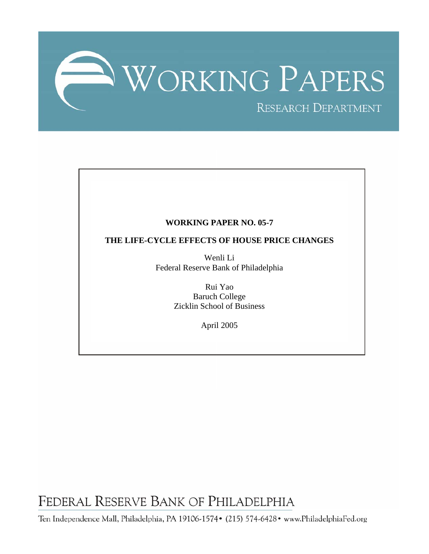

# **WORKING PAPER NO. 05-7**

# **THE LIFE-CYCLE EFFECTS OF HOUSE PRICE CHANGES**

Wenli Li Federal Reserve Bank of Philadelphia

> Rui Yao Baruch College Zicklin School of Business

> > April 2005

FEDERAL RESERVE BANK OF PHILADELPHIA

Ten Independence Mall, Philadelphia, PA 19106-1574• (215) 574-6428• www.PhiladelphiaFed.org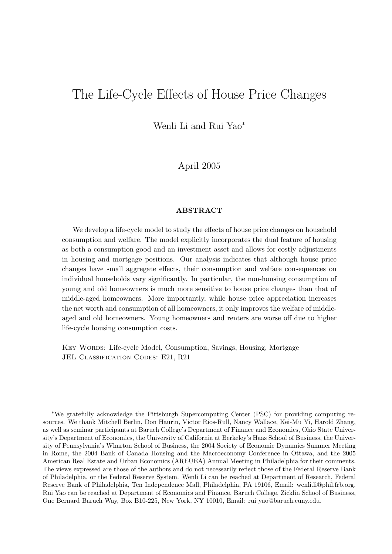# The Life-Cycle Effects of House Price Changes

Wenli Li and Rui Yao<sup>∗</sup>

April 2005

#### ABSTRACT

We develop a life-cycle model to study the effects of house price changes on household consumption and welfare. The model explicitly incorporates the dual feature of housing as both a consumption good and an investment asset and allows for costly adjustments in housing and mortgage positions. Our analysis indicates that although house price changes have small aggregate effects, their consumption and welfare consequences on individual households vary significantly. In particular, the non-housing consumption of young and old homeowners is much more sensitive to house price changes than that of middle-aged homeowners. More importantly, while house price appreciation increases the net worth and consumption of all homeowners, it only improves the welfare of middleaged and old homeowners. Young homeowners and renters are worse off due to higher life-cycle housing consumption costs.

Key Words: Life-cycle Model, Consumption, Savings, Housing, Mortgage JEL CLASSIFICATION CODES: E21, R21

<sup>∗</sup>We gratefully acknowledge the Pittsburgh Supercomputing Center (PSC) for providing computing resources. We thank Mitchell Berlin, Don Haurin, Victor Rios-Rull, Nancy Wallace, Kei-Mu Yi, Harold Zhang, as well as seminar participants at Baruch College's Department of Finance and Economics, Ohio State University's Department of Economics, the University of California at Berkeley's Haas School of Business, the University of Pennsylvania's Wharton School of Business, the 2004 Society of Economic Dynamics Summer Meeting in Rome, the 2004 Bank of Canada Housing and the Macroeconomy Conference in Ottawa, and the 2005 American Real Estate and Urban Economics (AREUEA) Annual Meeting in Philadelphia for their comments. The views expressed are those of the authors and do not necessarily reflect those of the Federal Reserve Bank of Philadelphia, or the Federal Reserve System. Wenli Li can be reached at Department of Research, Federal Reserve Bank of Philadelphia, Ten Independence Mall, Philadelphia, PA 19106, Email: wenli.li@phil.frb.org. Rui Yao can be reached at Department of Economics and Finance, Baruch College, Zicklin School of Business, One Bernard Baruch Way, Box B10-225, New York, NY 10010, Email: rui yao@baruch.cuny.edu.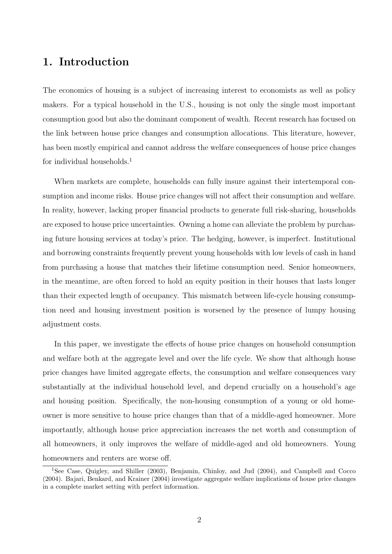# 1. Introduction

The economics of housing is a subject of increasing interest to economists as well as policy makers. For a typical household in the U.S., housing is not only the single most important consumption good but also the dominant component of wealth. Recent research has focused on the link between house price changes and consumption allocations. This literature, however, has been mostly empirical and cannot address the welfare consequences of house price changes for individual households.<sup>1</sup>

When markets are complete, households can fully insure against their intertemporal consumption and income risks. House price changes will not affect their consumption and welfare. In reality, however, lacking proper financial products to generate full risk-sharing, households are exposed to house price uncertainties. Owning a home can alleviate the problem by purchasing future housing services at today's price. The hedging, however, is imperfect. Institutional and borrowing constraints frequently prevent young households with low levels of cash in hand from purchasing a house that matches their lifetime consumption need. Senior homeowners, in the meantime, are often forced to hold an equity position in their houses that lasts longer than their expected length of occupancy. This mismatch between life-cycle housing consumption need and housing investment position is worsened by the presence of lumpy housing adjustment costs.

In this paper, we investigate the effects of house price changes on household consumption and welfare both at the aggregate level and over the life cycle. We show that although house price changes have limited aggregate effects, the consumption and welfare consequences vary substantially at the individual household level, and depend crucially on a household's age and housing position. Specifically, the non-housing consumption of a young or old homeowner is more sensitive to house price changes than that of a middle-aged homeowner. More importantly, although house price appreciation increases the net worth and consumption of all homeowners, it only improves the welfare of middle-aged and old homeowners. Young homeowners and renters are worse off.

<sup>&</sup>lt;sup>1</sup>See Case, Quigley, and Shiller (2003), Benjamin, Chinloy, and Jud (2004), and Campbell and Cocco (2004). Bajari, Benkard, and Krainer (2004) investigate aggregate welfare implications of house price changes in a complete market setting with perfect information.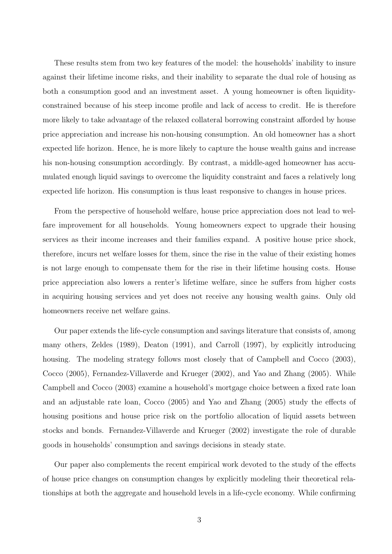These results stem from two key features of the model: the households' inability to insure against their lifetime income risks, and their inability to separate the dual role of housing as both a consumption good and an investment asset. A young homeowner is often liquidityconstrained because of his steep income profile and lack of access to credit. He is therefore more likely to take advantage of the relaxed collateral borrowing constraint afforded by house price appreciation and increase his non-housing consumption. An old homeowner has a short expected life horizon. Hence, he is more likely to capture the house wealth gains and increase his non-housing consumption accordingly. By contrast, a middle-aged homeowner has accumulated enough liquid savings to overcome the liquidity constraint and faces a relatively long expected life horizon. His consumption is thus least responsive to changes in house prices.

From the perspective of household welfare, house price appreciation does not lead to welfare improvement for all households. Young homeowners expect to upgrade their housing services as their income increases and their families expand. A positive house price shock, therefore, incurs net welfare losses for them, since the rise in the value of their existing homes is not large enough to compensate them for the rise in their lifetime housing costs. House price appreciation also lowers a renter's lifetime welfare, since he suffers from higher costs in acquiring housing services and yet does not receive any housing wealth gains. Only old homeowners receive net welfare gains.

Our paper extends the life-cycle consumption and savings literature that consists of, among many others, Zeldes (1989), Deaton (1991), and Carroll (1997), by explicitly introducing housing. The modeling strategy follows most closely that of Campbell and Cocco (2003), Cocco (2005), Fernandez-Villaverde and Krueger (2002), and Yao and Zhang (2005). While Campbell and Cocco (2003) examine a household's mortgage choice between a fixed rate loan and an adjustable rate loan, Cocco (2005) and Yao and Zhang (2005) study the effects of housing positions and house price risk on the portfolio allocation of liquid assets between stocks and bonds. Fernandez-Villaverde and Krueger (2002) investigate the role of durable goods in households' consumption and savings decisions in steady state.

Our paper also complements the recent empirical work devoted to the study of the effects of house price changes on consumption changes by explicitly modeling their theoretical relationships at both the aggregate and household levels in a life-cycle economy. While confirming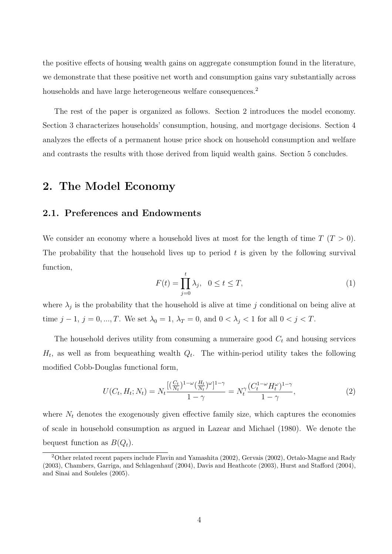the positive effects of housing wealth gains on aggregate consumption found in the literature, we demonstrate that these positive net worth and consumption gains vary substantially across households and have large heterogeneous welfare consequences.<sup>2</sup>

The rest of the paper is organized as follows. Section 2 introduces the model economy. Section 3 characterizes households' consumption, housing, and mortgage decisions. Section 4 analyzes the effects of a permanent house price shock on household consumption and welfare and contrasts the results with those derived from liquid wealth gains. Section 5 concludes.

# 2. The Model Economy

## 2.1. Preferences and Endowments

We consider an economy where a household lives at most for the length of time  $T(T > 0)$ . The probability that the household lives up to period  $t$  is given by the following survival function,

$$
F(t) = \prod_{j=0}^{t} \lambda_j, \quad 0 \le t \le T,\tag{1}
$$

where  $\lambda_j$  is the probability that the household is alive at time j conditional on being alive at time  $j - 1$ ,  $j = 0, ..., T$ . We set  $\lambda_0 = 1$ ,  $\lambda_T = 0$ , and  $0 < \lambda_j < 1$  for all  $0 < j < T$ .

The household derives utility from consuming a numeraire good  $C_t$  and housing services  $H_t$ , as well as from bequeathing wealth  $Q_t$ . The within-period utility takes the following modified Cobb-Douglas functional form,

$$
U(C_t, H_t; N_t) = N_t \frac{[(\frac{C_t}{N_t})^{1-\omega}(\frac{H_t}{N_t})^{\omega}]^{1-\gamma}}{1-\gamma} = N_t^{\gamma} \frac{(C_t^{1-\omega}H_t^{\omega})^{1-\gamma}}{1-\gamma},
$$
\n(2)

where  $N_t$  denotes the exogenously given effective family size, which captures the economies of scale in household consumption as argued in Lazear and Michael (1980). We denote the bequest function as  $B(Q_t)$ .

<sup>2</sup>Other related recent papers include Flavin and Yamashita (2002), Gervais (2002), Ortalo-Magne and Rady (2003), Chambers, Garriga, and Schlagenhauf (2004), Davis and Heathcote (2003), Hurst and Stafford (2004), and Sinai and Souleles (2005).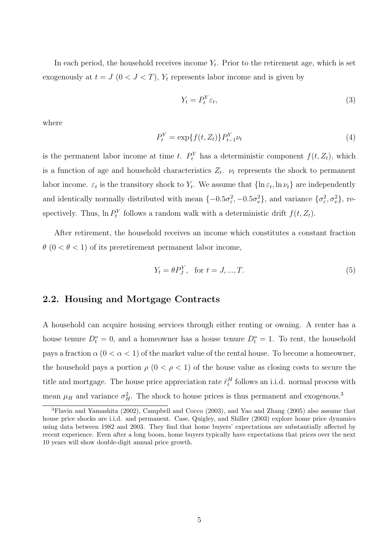In each period, the household receives income  $Y_t$ . Prior to the retirement age, which is set exogenously at  $t = J$   $(0 < J < T)$ ,  $Y_t$  represents labor income and is given by

$$
Y_t = P_t^Y \varepsilon_t,\tag{3}
$$

where

$$
P_t^Y = \exp\{f(t, Z_t)\} P_{t-1}^Y \nu_t
$$
\n(4)

is the permanent labor income at time t.  $P_t^Y$  has a deterministic component  $f(t, Z_t)$ , which is a function of age and household characteristics  $Z_t$ .  $\nu_t$  represents the shock to permanent labor income.  $\varepsilon_t$  is the transitory shock to  $Y_t$ . We assume that  $\{\ln \varepsilon_t, \ln \nu_t\}$  are independently and identically normally distributed with mean  $\{-0.5\sigma_{\varepsilon}^2, -0.5\sigma_{\nu}^2\}$ , and variance  $\{\sigma_{\varepsilon}^2, \sigma_{\nu}^2\}$ , respectively. Thus,  $\ln P_t^Y$  follows a random walk with a deterministic drift  $f(t, Z_t)$ .

After retirement, the household receives an income which constitutes a constant fraction  $\theta$  (0 <  $\theta$  < 1) of its preretirement permanent labor income,

$$
Y_t = \theta P_J^Y, \text{ for } t = J, ..., T. \tag{5}
$$

## 2.2. Housing and Mortgage Contracts

A household can acquire housing services through either renting or owning. A renter has a house tenure  $D_t^o = 0$ , and a homeowner has a house tenure  $D_t^o = 1$ . To rent, the household pays a fraction  $\alpha$  ( $0 < \alpha < 1$ ) of the market value of the rental house. To become a homeowner, the household pays a portion  $\rho$  ( $0 < \rho < 1$ ) of the house value as closing costs to secure the title and mortgage. The house price appreciation rate  $\tilde{r}_t^H$  follows an i.i.d. normal process with mean  $\mu$ <sub>H</sub> and variance  $\sigma_H^2$ . The shock to house prices is thus permanent and exogenous.<sup>3</sup>

<sup>3</sup>Flavin and Yamashita (2002), Campbell and Cocco (2003), and Yao and Zhang (2005) also assume that house price shocks are i.i.d. and permanent. Case, Quigley, and Shiller (2003) explore home price dynamics using data between 1982 and 2003. They find that home buyers' expectations are substantially affected by recent experience. Even after a long boom, home buyers typically have expectations that prices over the next 10 years will show double-digit annual price growth.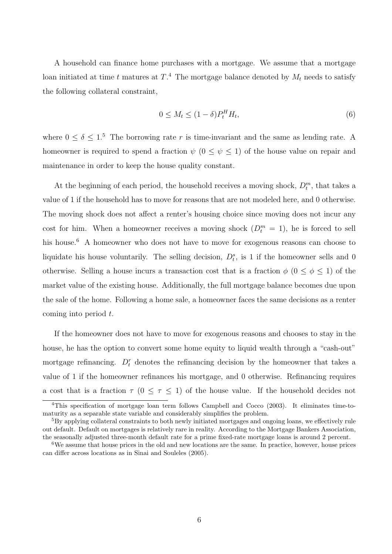A household can finance home purchases with a mortgage. We assume that a mortgage loan initiated at time t matures at  $T^A$ . The mortgage balance denoted by  $M_t$  needs to satisfy the following collateral constraint,

$$
0 \le M_t \le (1 - \delta) P_t^H H_t,\tag{6}
$$

where  $0 \le \delta \le 1$ .<sup>5</sup> The borrowing rate r is time-invariant and the same as lending rate. A homeowner is required to spend a fraction  $\psi$  ( $0 \le \psi \le 1$ ) of the house value on repair and maintenance in order to keep the house quality constant.

At the beginning of each period, the household receives a moving shock,  $D_t^m$ , that takes a value of 1 if the household has to move for reasons that are not modeled here, and 0 otherwise. The moving shock does not affect a renter's housing choice since moving does not incur any cost for him. When a homeowner receives a moving shock  $(D_t^m = 1)$ , he is forced to sell his house.<sup>6</sup> A homeowner who does not have to move for exogenous reasons can choose to liquidate his house voluntarily. The selling decision,  $D_t^s$ , is 1 if the homeowner sells and 0 otherwise. Selling a house incurs a transaction cost that is a fraction  $\phi$  ( $0 \le \phi \le 1$ ) of the market value of the existing house. Additionally, the full mortgage balance becomes due upon the sale of the home. Following a home sale, a homeowner faces the same decisions as a renter coming into period  $t$ .

If the homeowner does not have to move for exogenous reasons and chooses to stay in the house, he has the option to convert some home equity to liquid wealth through a "cash-out" mortgage refinancing.  $D_t^r$  denotes the refinancing decision by the homeowner that takes a value of 1 if the homeowner refinances his mortgage, and 0 otherwise. Refinancing requires a cost that is a fraction  $\tau$  ( $0 \leq \tau \leq 1$ ) of the house value. If the household decides not

<sup>4</sup>This specification of mortgage loan term follows Campbell and Cocco (2003). It eliminates time-tomaturity as a separable state variable and considerably simplifies the problem.

<sup>5</sup>By applying collateral constraints to both newly initiated mortgages and ongoing loans, we effectively rule out default. Default on mortgages is relatively rare in reality. According to the Mortgage Bankers Association, the seasonally adjusted three-month default rate for a prime fixed-rate mortgage loans is around 2 percent.

<sup>6</sup>We assume that house prices in the old and new locations are the same. In practice, however, house prices can differ across locations as in Sinai and Souleles (2005).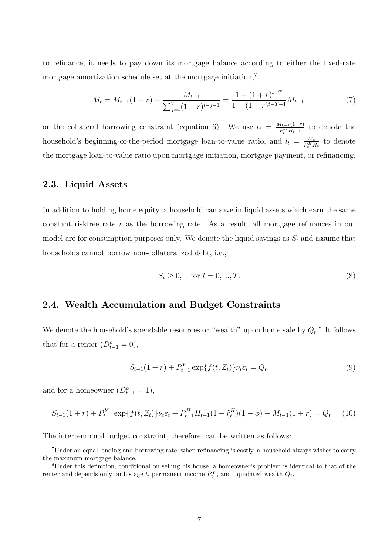to refinance, it needs to pay down its mortgage balance according to either the fixed-rate mortgage amortization schedule set at the mortgage initiation,<sup>7</sup>

$$
M_t = M_{t-1}(1+r) - \frac{M_{t-1}}{\sum_{j=t}^{T} (1+r)^{t-j-1}} = \frac{1 - (1+r)^{t-T}}{1 - (1+r)^{t-T-1}} M_{t-1},\tag{7}
$$

or the collateral borrowing constraint (equation 6). We use  $\bar{l}_t = \frac{M_{t-1}(1+r)}{P^H H_{t-1}}$  $\frac{H_{t-1}(1+r)}{P_t^H H_{t-1}}$  to denote the household's beginning-of-the-period mortgage loan-to-value ratio, and  $l_t = \frac{M_t}{P^{H}_t}$  $\frac{M_t}{P_t^H H_t}$  to denote the mortgage loan-to-value ratio upon mortgage initiation, mortgage payment, or refinancing.

## 2.3. Liquid Assets

In addition to holding home equity, a household can save in liquid assets which earn the same constant riskfree rate  $r$  as the borrowing rate. As a result, all mortgage refinances in our model are for consumption purposes only. We denote the liquid savings as  $S_t$  and assume that households cannot borrow non-collateralized debt, i.e.,

$$
S_t \ge 0, \quad \text{for } t = 0, ..., T. \tag{8}
$$

# 2.4. Wealth Accumulation and Budget Constraints

We denote the household's spendable resources or "wealth" upon home sale by  $Q_t$ .<sup>8</sup> It follows that for a renter  $(D_{t-1}^o = 0)$ ,

$$
S_{t-1}(1+r) + P_{t-1}^{Y} \exp\{f(t, Z_t)\} \nu_t \varepsilon_t = Q_t,
$$
\n(9)

and for a homeowner  $(D_{t-1}^o = 1)$ ,

$$
S_{t-1}(1+r) + P_{t-1}^{Y} \exp\{f(t, Z_t)\} \nu_t \varepsilon_t + P_{t-1}^{H} H_{t-1}(1+\tilde{r}_t^H)(1-\phi) - M_{t-1}(1+r) = Q_t.
$$
 (10)

The intertemporal budget constraint, therefore, can be written as follows:

<sup>7</sup>Under an equal lending and borrowing rate, when refinancing is costly, a household always wishes to carry the maximum mortgage balance.

<sup>8</sup>Under this definition, conditional on selling his house, a homeowner's problem is identical to that of the renter and depends only on his age t, permanent income  $P_t^Y$ , and liquidated wealth  $Q_t$ .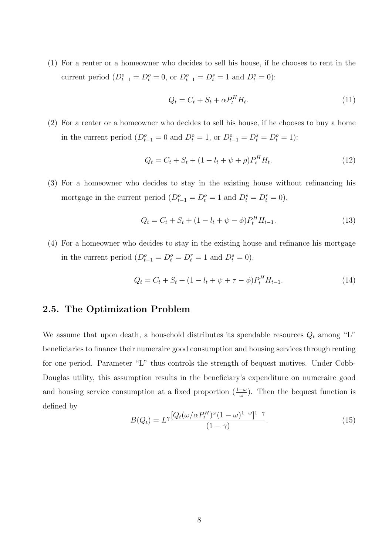(1) For a renter or a homeowner who decides to sell his house, if he chooses to rent in the current period  $(D_{t-1}^o = D_t^o = 0$ , or  $D_{t-1}^o = D_t^s = 1$  and  $D_t^o = 0$ :

$$
Q_t = C_t + S_t + \alpha P_t^H H_t. \tag{11}
$$

(2) For a renter or a homeowner who decides to sell his house, if he chooses to buy a home in the current period  $(D_{t-1}^o = 0 \text{ and } D_t^o = 1, \text{ or } D_{t-1}^o = D_t^s = D_t^o = 1)$ :

$$
Q_t = C_t + S_t + (1 - l_t + \psi + \rho)P_t^H H_t.
$$
\n(12)

(3) For a homeowner who decides to stay in the existing house without refinancing his mortgage in the current period  $(D_{t-1}^o = D_t^o = 1$  and  $D_t^s = D_t^r = 0$ ,

$$
Q_t = C_t + S_t + (1 - l_t + \psi - \phi)P_t^H H_{t-1}.
$$
\n(13)

(4) For a homeowner who decides to stay in the existing house and refinance his mortgage in the current period  $(D_{t-1}^o = D_t^o = D_t^r = 1$  and  $D_t^s = 0$ ,

$$
Q_t = C_t + S_t + (1 - l_t + \psi + \tau - \phi) P_t^H H_{t-1}.
$$
\n(14)

### 2.5. The Optimization Problem

We assume that upon death, a household distributes its spendable resources  $Q_t$  among "L" beneficiaries to finance their numeraire good consumption and housing services through renting for one period. Parameter "L" thus controls the strength of bequest motives. Under Cobb-Douglas utility, this assumption results in the beneficiary's expenditure on numeraire good and housing service consumption at a fixed proportion  $(\frac{1-\omega}{\omega})$ . Then the bequest function is defined by

$$
B(Q_t) = L^{\gamma} \frac{[Q_t(\omega/\alpha P_t^H)^{\omega}(1-\omega)^{1-\omega}]^{1-\gamma}}{(1-\gamma)}.
$$
\n(15)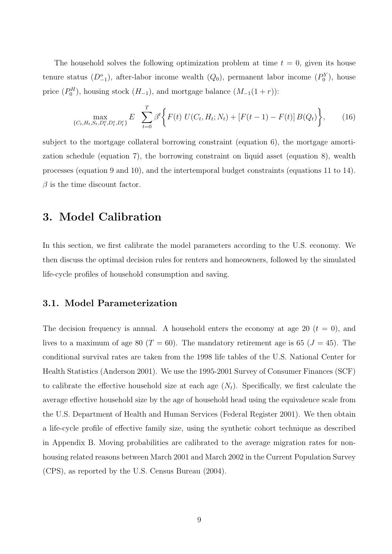The household solves the following optimization problem at time  $t = 0$ , given its house tenure status  $(D_{-1}^o)$ , after-labor income wealth  $(Q_0)$ , permanent labor income  $(P_0^Y)$ , house price  $(P_0^H)$ , housing stock  $(H_{-1})$ , and mortgage balance  $(M_{-1}(1+r))$ :

$$
\max_{\{C_t, H_t, S_t, D_t^s, D_t^s\}} E \sum_{t=0}^T \beta^t \Biggl\{ F(t) \ U(C_t, H_t; N_t) + \left[ F(t-1) - F(t) \right] B(Q_t) \Biggr\}, \tag{16}
$$

subject to the mortgage collateral borrowing constraint (equation 6), the mortgage amortization schedule (equation 7), the borrowing constraint on liquid asset (equation 8), wealth processes (equation 9 and 10), and the intertemporal budget constraints (equations 11 to 14).  $\beta$  is the time discount factor.

# 3. Model Calibration

In this section, we first calibrate the model parameters according to the U.S. economy. We then discuss the optimal decision rules for renters and homeowners, followed by the simulated life-cycle profiles of household consumption and saving.

## 3.1. Model Parameterization

The decision frequency is annual. A household enters the economy at age 20  $(t = 0)$ , and lives to a maximum of age 80 ( $T = 60$ ). The mandatory retirement age is 65 ( $J = 45$ ). The conditional survival rates are taken from the 1998 life tables of the U.S. National Center for Health Statistics (Anderson 2001). We use the 1995-2001 Survey of Consumer Finances (SCF) to calibrate the effective household size at each age  $(N_t)$ . Specifically, we first calculate the average effective household size by the age of household head using the equivalence scale from the U.S. Department of Health and Human Services (Federal Register 2001). We then obtain a life-cycle profile of effective family size, using the synthetic cohort technique as described in Appendix B. Moving probabilities are calibrated to the average migration rates for nonhousing related reasons between March 2001 and March 2002 in the Current Population Survey (CPS), as reported by the U.S. Census Bureau (2004).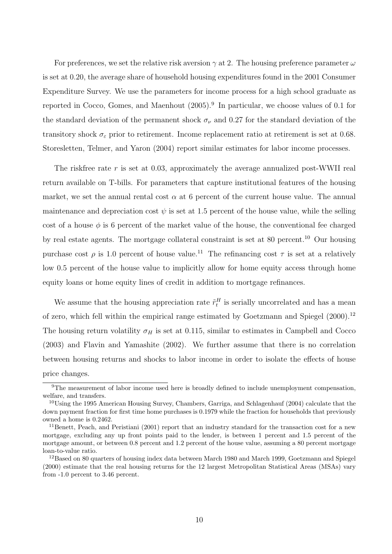For preferences, we set the relative risk aversion  $\gamma$  at 2. The housing preference parameter  $\omega$ is set at 0.20, the average share of household housing expenditures found in the 2001 Consumer Expenditure Survey. We use the parameters for income process for a high school graduate as reported in Cocco, Gomes, and Maenhout  $(2005)$ .<sup>9</sup> In particular, we choose values of 0.1 for the standard deviation of the permanent shock  $\sigma_{\nu}$  and 0.27 for the standard deviation of the transitory shock  $\sigma_{\varepsilon}$  prior to retirement. Income replacement ratio at retirement is set at 0.68. Storesletten, Telmer, and Yaron (2004) report similar estimates for labor income processes.

The riskfree rate  $r$  is set at 0.03, approximately the average annualized post-WWII real return available on T-bills. For parameters that capture institutional features of the housing market, we set the annual rental cost  $\alpha$  at 6 percent of the current house value. The annual maintenance and depreciation cost  $\psi$  is set at 1.5 percent of the house value, while the selling cost of a house  $\phi$  is 6 percent of the market value of the house, the conventional fee charged by real estate agents. The mortgage collateral constraint is set at 80 percent.<sup>10</sup> Our housing purchase cost  $\rho$  is 1.0 percent of house value.<sup>11</sup> The refinancing cost  $\tau$  is set at a relatively low 0.5 percent of the house value to implicitly allow for home equity access through home equity loans or home equity lines of credit in addition to mortgage refinances.

We assume that the housing appreciation rate  $\tilde{r}_t^H$  is serially uncorrelated and has a mean of zero, which fell within the empirical range estimated by Goetzmann and Spiegel (2000).<sup>12</sup> The housing return volatility  $\sigma_H$  is set at 0.115, similar to estimates in Campbell and Cocco (2003) and Flavin and Yamashite (2002). We further assume that there is no correlation between housing returns and shocks to labor income in order to isolate the effects of house price changes.

<sup>9</sup>The measurement of labor income used here is broadly defined to include unemployment compensation, welfare, and transfers.

<sup>10</sup>Using the 1995 American Housing Survey, Chambers, Garriga, and Schlagenhauf (2004) calculate that the down payment fraction for first time home purchases is 0.1979 while the fraction for households that previously owned a home is 0.2462.

<sup>&</sup>lt;sup>11</sup>Benett, Peach, and Peristiani (2001) report that an industry standard for the transaction cost for a new mortgage, excluding any up front points paid to the lender, is between 1 percent and 1.5 percent of the mortgage amount, or between 0.8 percent and 1.2 percent of the house value, assuming a 80 percent mortgage loan-to-value ratio.

<sup>&</sup>lt;sup>12</sup>Based on 80 quarters of housing index data between March 1980 and March 1999, Goetzmann and Spiegel (2000) estimate that the real housing returns for the 12 largest Metropolitan Statistical Areas (MSAs) vary from -1.0 percent to 3.46 percent.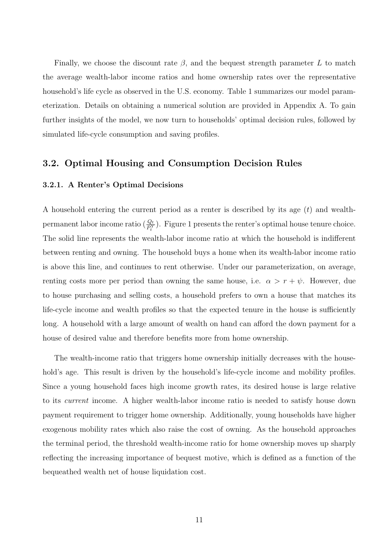Finally, we choose the discount rate  $\beta$ , and the bequest strength parameter L to match the average wealth-labor income ratios and home ownership rates over the representative household's life cycle as observed in the U.S. economy. Table 1 summarizes our model parameterization. Details on obtaining a numerical solution are provided in Appendix A. To gain further insights of the model, we now turn to households' optimal decision rules, followed by simulated life-cycle consumption and saving profiles.

## 3.2. Optimal Housing and Consumption Decision Rules

#### 3.2.1. A Renter's Optimal Decisions

A household entering the current period as a renter is described by its age  $(t)$  and wealthpermanent labor income ratio  $(\frac{Q_t}{P_t^Y})$ . Figure 1 presents the renter's optimal house tenure choice. The solid line represents the wealth-labor income ratio at which the household is indifferent between renting and owning. The household buys a home when its wealth-labor income ratio is above this line, and continues to rent otherwise. Under our parameterization, on average, renting costs more per period than owning the same house, i.e.  $\alpha > r + \psi$ . However, due to house purchasing and selling costs, a household prefers to own a house that matches its life-cycle income and wealth profiles so that the expected tenure in the house is sufficiently long. A household with a large amount of wealth on hand can afford the down payment for a house of desired value and therefore benefits more from home ownership.

The wealth-income ratio that triggers home ownership initially decreases with the household's age. This result is driven by the household's life-cycle income and mobility profiles. Since a young household faces high income growth rates, its desired house is large relative to its current income. A higher wealth-labor income ratio is needed to satisfy house down payment requirement to trigger home ownership. Additionally, young households have higher exogenous mobility rates which also raise the cost of owning. As the household approaches the terminal period, the threshold wealth-income ratio for home ownership moves up sharply reflecting the increasing importance of bequest motive, which is defined as a function of the bequeathed wealth net of house liquidation cost.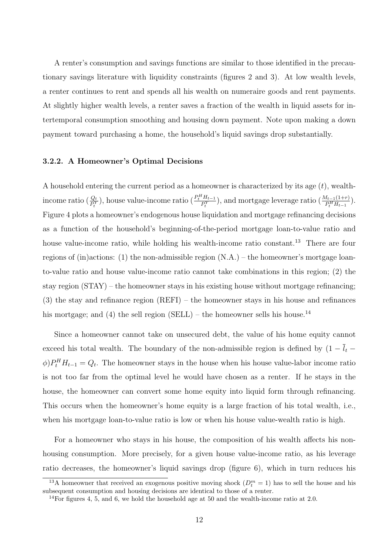A renter's consumption and savings functions are similar to those identified in the precautionary savings literature with liquidity constraints (figures 2 and 3). At low wealth levels, a renter continues to rent and spends all his wealth on numeraire goods and rent payments. At slightly higher wealth levels, a renter saves a fraction of the wealth in liquid assets for intertemporal consumption smoothing and housing down payment. Note upon making a down payment toward purchasing a home, the household's liquid savings drop substantially.

#### 3.2.2. A Homeowner's Optimal Decisions

A household entering the current period as a homeowner is characterized by its age  $(t)$ , wealthincome ratio  $(\frac{Q_t}{P_t^Y})$ , house value-income ratio  $(\frac{P_t^H H_{t-1}}{P_t^Y})$  $\frac{H_{H_{t-1}}}{P_t^Y}$ , and mortgage leverage ratio  $\left(\frac{M_{t-1}(1+r)}{P_t^H H_{t-1}}\right)$ . Figure 4 plots a homeowner's endogenous house liquidation and mortgage refinancing decisions as a function of the household's beginning-of-the-period mortgage loan-to-value ratio and house value-income ratio, while holding his wealth-income ratio constant.<sup>13</sup> There are four regions of (in)actions: (1) the non-admissible region (N.A.) – the homeowner's mortgage loanto-value ratio and house value-income ratio cannot take combinations in this region; (2) the stay region (STAY) – the homeowner stays in his existing house without mortgage refinancing; (3) the stay and refinance region (REFI) – the homeowner stays in his house and refinances his mortgage; and (4) the sell region (SELL) – the homeowner sells his house.<sup>14</sup>

Since a homeowner cannot take on unsecured debt, the value of his home equity cannot exceed his total wealth. The boundary of the non-admissible region is defined by  $(1 - \overline{l}_t \phi$ ) $P_t^H H_{t-1} = Q_t$ . The homeowner stays in the house when his house value-labor income ratio is not too far from the optimal level he would have chosen as a renter. If he stays in the house, the homeowner can convert some home equity into liquid form through refinancing. This occurs when the homeowner's home equity is a large fraction of his total wealth, i.e., when his mortgage loan-to-value ratio is low or when his house value-wealth ratio is high.

For a homeowner who stays in his house, the composition of his wealth affects his nonhousing consumption. More precisely, for a given house value-income ratio, as his leverage ratio decreases, the homeowner's liquid savings drop (figure 6), which in turn reduces his

<sup>&</sup>lt;sup>13</sup>A homeowner that received an exogenous positive moving shock  $(D_t^m = 1)$  has to sell the house and his subsequent consumption and housing decisions are identical to those of a renter.

<sup>&</sup>lt;sup>14</sup>For figures 4, 5, and 6, we hold the household age at 50 and the wealth-income ratio at 2.0.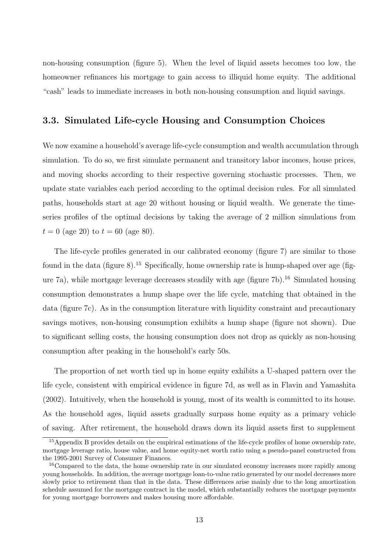non-housing consumption (figure 5). When the level of liquid assets becomes too low, the homeowner refinances his mortgage to gain access to illiquid home equity. The additional "cash" leads to immediate increases in both non-housing consumption and liquid savings.

## 3.3. Simulated Life-cycle Housing and Consumption Choices

We now examine a household's average life-cycle consumption and wealth accumulation through simulation. To do so, we first simulate permanent and transitory labor incomes, house prices, and moving shocks according to their respective governing stochastic processes. Then, we update state variables each period according to the optimal decision rules. For all simulated paths, households start at age 20 without housing or liquid wealth. We generate the timeseries profiles of the optimal decisions by taking the average of 2 million simulations from  $t = 0$  (age 20) to  $t = 60$  (age 80).

The life-cycle profiles generated in our calibrated economy (figure 7) are similar to those found in the data (figure  $8$ ).<sup>15</sup> Specifically, home ownership rate is hump-shaped over age (figure 7a), while mortgage leverage decreases steadily with age (figure 7b).<sup>16</sup> Simulated housing consumption demonstrates a hump shape over the life cycle, matching that obtained in the data (figure 7c). As in the consumption literature with liquidity constraint and precautionary savings motives, non-housing consumption exhibits a hump shape (figure not shown). Due to significant selling costs, the housing consumption does not drop as quickly as non-housing consumption after peaking in the household's early 50s.

The proportion of net worth tied up in home equity exhibits a U-shaped pattern over the life cycle, consistent with empirical evidence in figure 7d, as well as in Flavin and Yamashita (2002). Intuitively, when the household is young, most of its wealth is committed to its house. As the household ages, liquid assets gradually surpass home equity as a primary vehicle of saving. After retirement, the household draws down its liquid assets first to supplement

<sup>15</sup>Appendix B provides details on the empirical estimations of the life-cycle profiles of home ownership rate, mortgage leverage ratio, house value, and home equity-net worth ratio using a pseudo-panel constructed from the 1995-2001 Survey of Consumer Finances.

<sup>&</sup>lt;sup>16</sup>Compared to the data, the home ownership rate in our simulated economy increases more rapidly among young households. In addition, the average mortgage loan-to-value ratio generated by our model decreases more slowly prior to retirement than that in the data. These differences arise mainly due to the long amortization schedule assumed for the mortgage contract in the model, which substantially reduces the mortgage payments for young mortgage borrowers and makes housing more affordable.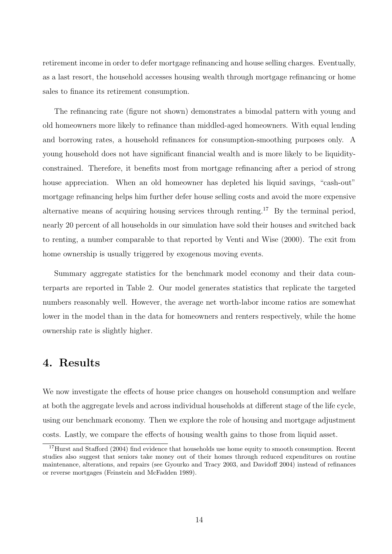retirement income in order to defer mortgage refinancing and house selling charges. Eventually, as a last resort, the household accesses housing wealth through mortgage refinancing or home sales to finance its retirement consumption.

The refinancing rate (figure not shown) demonstrates a bimodal pattern with young and old homeowners more likely to refinance than middled-aged homeowners. With equal lending and borrowing rates, a household refinances for consumption-smoothing purposes only. A young household does not have significant financial wealth and is more likely to be liquidityconstrained. Therefore, it benefits most from mortgage refinancing after a period of strong house appreciation. When an old homeowner has depleted his liquid savings, "cash-out" mortgage refinancing helps him further defer house selling costs and avoid the more expensive alternative means of acquiring housing services through renting.<sup>17</sup> By the terminal period, nearly 20 percent of all households in our simulation have sold their houses and switched back to renting, a number comparable to that reported by Venti and Wise (2000). The exit from home ownership is usually triggered by exogenous moving events.

Summary aggregate statistics for the benchmark model economy and their data counterparts are reported in Table 2. Our model generates statistics that replicate the targeted numbers reasonably well. However, the average net worth-labor income ratios are somewhat lower in the model than in the data for homeowners and renters respectively, while the home ownership rate is slightly higher.

# 4. Results

We now investigate the effects of house price changes on household consumption and welfare at both the aggregate levels and across individual households at different stage of the life cycle, using our benchmark economy. Then we explore the role of housing and mortgage adjustment costs. Lastly, we compare the effects of housing wealth gains to those from liquid asset.

<sup>&</sup>lt;sup>17</sup>Hurst and Stafford (2004) find evidence that households use home equity to smooth consumption. Recent studies also suggest that seniors take money out of their homes through reduced expenditures on routine maintenance, alterations, and repairs (see Gyourko and Tracy 2003, and Davidoff 2004) instead of refinances or reverse mortgages (Feinstein and McFadden 1989).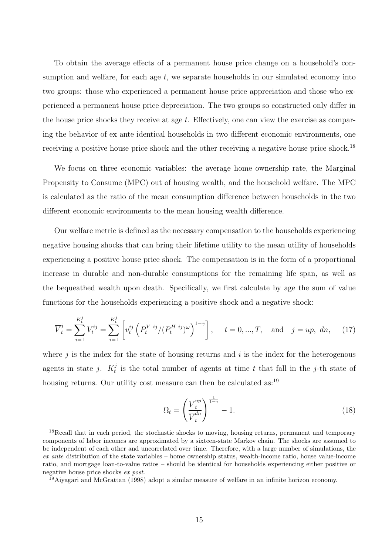To obtain the average effects of a permanent house price change on a household's consumption and welfare, for each age  $t$ , we separate households in our simulated economy into two groups: those who experienced a permanent house price appreciation and those who experienced a permanent house price depreciation. The two groups so constructed only differ in the house price shocks they receive at age  $t$ . Effectively, one can view the exercise as comparing the behavior of ex ante identical households in two different economic environments, one receiving a positive house price shock and the other receiving a negative house price shock.<sup>18</sup>

We focus on three economic variables: the average home ownership rate, the Marginal Propensity to Consume (MPC) out of housing wealth, and the household welfare. The MPC is calculated as the ratio of the mean consumption difference between households in the two different economic environments to the mean housing wealth difference.

Our welfare metric is defined as the necessary compensation to the households experiencing negative housing shocks that can bring their lifetime utility to the mean utility of households experiencing a positive house price shock. The compensation is in the form of a proportional increase in durable and non-durable consumptions for the remaining life span, as well as the bequeathed wealth upon death. Specifically, we first calculate by age the sum of value functions for the households experiencing a positive shock and a negative shock:

$$
\overline{V}_t^j = \sum_{i=1}^{K_t^j} V_t^{ij} = \sum_{i=1}^{K_t^j} \left[ v_t^{ij} \left( P_t^{Yij} / (P_t^{Hij})^{\omega} \right)^{1-\gamma} \right], \quad t = 0, ..., T, \text{ and } j = up, dn, \quad (17)
$$

where  $i$  is the index for the state of housing returns and  $i$  is the index for the heterogenous agents in state j.  $K_t^j$  $t<sub>t</sub>$  is the total number of agents at time t that fall in the j-th state of housing returns. Our utility cost measure can then be calculated as:<sup>19</sup>

$$
\Omega_t = \left(\frac{\overline{V}_t^{up}}{\overline{V}_t^{dn}}\right)^{\frac{1}{1-\gamma}} - 1.
$$
\n(18)

<sup>&</sup>lt;sup>18</sup>Recall that in each period, the stochastic shocks to moving, housing returns, permanent and temporary components of labor incomes are approximated by a sixteen-state Markov chain. The shocks are assumed to be independent of each other and uncorrelated over time. Therefore, with a large number of simulations, the ex ante distribution of the state variables – home ownership status, wealth-income ratio, house value-income ratio, and mortgage loan-to-value ratios – should be identical for households experiencing either positive or negative house price shocks ex post.

<sup>19</sup>Aiyagari and McGrattan (1998) adopt a similar measure of welfare in an infinite horizon economy.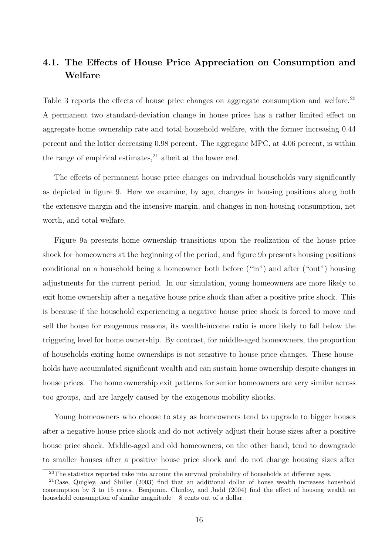# 4.1. The Effects of House Price Appreciation on Consumption and Welfare

Table 3 reports the effects of house price changes on aggregate consumption and welfare.<sup>20</sup> A permanent two standard-deviation change in house prices has a rather limited effect on aggregate home ownership rate and total household welfare, with the former increasing 0.44 percent and the latter decreasing 0.98 percent. The aggregate MPC, at 4.06 percent, is within the range of empirical estimates,  $21$  albeit at the lower end.

The effects of permanent house price changes on individual households vary significantly as depicted in figure 9. Here we examine, by age, changes in housing positions along both the extensive margin and the intensive margin, and changes in non-housing consumption, net worth, and total welfare.

Figure 9a presents home ownership transitions upon the realization of the house price shock for homeowners at the beginning of the period, and figure 9b presents housing positions conditional on a household being a homeowner both before ("in") and after ("out") housing adjustments for the current period. In our simulation, young homeowners are more likely to exit home ownership after a negative house price shock than after a positive price shock. This is because if the household experiencing a negative house price shock is forced to move and sell the house for exogenous reasons, its wealth-income ratio is more likely to fall below the triggering level for home ownership. By contrast, for middle-aged homeowners, the proportion of households exiting home ownerships is not sensitive to house price changes. These households have accumulated significant wealth and can sustain home ownership despite changes in house prices. The home ownership exit patterns for senior homeowners are very similar across too groups, and are largely caused by the exogenous mobility shocks.

Young homeowners who choose to stay as homeowners tend to upgrade to bigger houses after a negative house price shock and do not actively adjust their house sizes after a positive house price shock. Middle-aged and old homeowners, on the other hand, tend to downgrade to smaller houses after a positive house price shock and do not change housing sizes after

<sup>&</sup>lt;sup>20</sup>The statistics reported take into account the survival probability of households at different ages.

<sup>21</sup>Case, Quigley, and Shiller (2003) find that an additional dollar of house wealth increases household consumption by 3 to 15 cents. Benjamin, Chinloy, and Judd (2004) find the effect of housing wealth on household consumption of similar magnitude  $-8$  cents out of a dollar.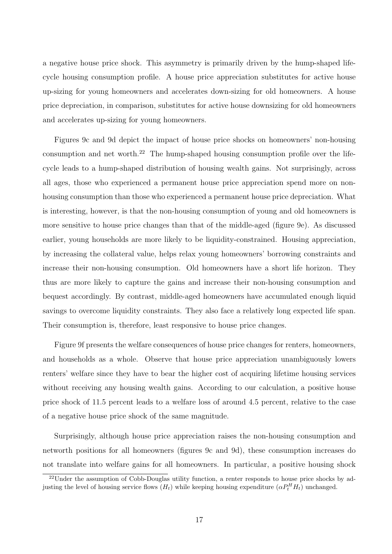a negative house price shock. This asymmetry is primarily driven by the hump-shaped lifecycle housing consumption profile. A house price appreciation substitutes for active house up-sizing for young homeowners and accelerates down-sizing for old homeowners. A house price depreciation, in comparison, substitutes for active house downsizing for old homeowners and accelerates up-sizing for young homeowners.

Figures 9c and 9d depict the impact of house price shocks on homeowners' non-housing consumption and net worth.<sup>22</sup> The hump-shaped housing consumption profile over the lifecycle leads to a hump-shaped distribution of housing wealth gains. Not surprisingly, across all ages, those who experienced a permanent house price appreciation spend more on nonhousing consumption than those who experienced a permanent house price depreciation. What is interesting, however, is that the non-housing consumption of young and old homeowners is more sensitive to house price changes than that of the middle-aged (figure 9e). As discussed earlier, young households are more likely to be liquidity-constrained. Housing appreciation, by increasing the collateral value, helps relax young homeowners' borrowing constraints and increase their non-housing consumption. Old homeowners have a short life horizon. They thus are more likely to capture the gains and increase their non-housing consumption and bequest accordingly. By contrast, middle-aged homeowners have accumulated enough liquid savings to overcome liquidity constraints. They also face a relatively long expected life span. Their consumption is, therefore, least responsive to house price changes.

Figure 9f presents the welfare consequences of house price changes for renters, homeowners, and households as a whole. Observe that house price appreciation unambiguously lowers renters' welfare since they have to bear the higher cost of acquiring lifetime housing services without receiving any housing wealth gains. According to our calculation, a positive house price shock of 11.5 percent leads to a welfare loss of around 4.5 percent, relative to the case of a negative house price shock of the same magnitude.

Surprisingly, although house price appreciation raises the non-housing consumption and networth positions for all homeowners (figures 9c and 9d), these consumption increases do not translate into welfare gains for all homeowners. In particular, a positive housing shock

<sup>&</sup>lt;sup>22</sup>Under the assumption of Cobb-Douglas utility function, a renter responds to house price shocks by adjusting the level of housing service flows  $(H_t)$  while keeping housing expenditure  $(\alpha P_t^H H_t)$  unchanged.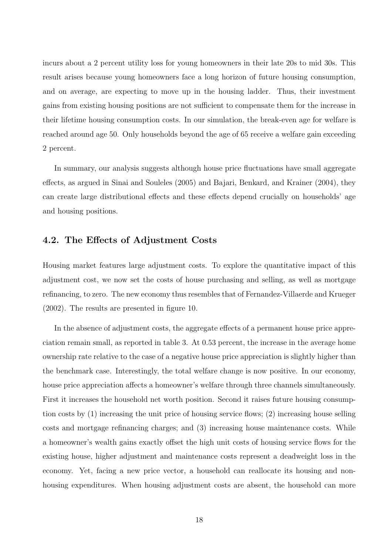incurs about a 2 percent utility loss for young homeowners in their late 20s to mid 30s. This result arises because young homeowners face a long horizon of future housing consumption, and on average, are expecting to move up in the housing ladder. Thus, their investment gains from existing housing positions are not sufficient to compensate them for the increase in their lifetime housing consumption costs. In our simulation, the break-even age for welfare is reached around age 50. Only households beyond the age of 65 receive a welfare gain exceeding 2 percent.

In summary, our analysis suggests although house price fluctuations have small aggregate effects, as argued in Sinai and Souleles (2005) and Bajari, Benkard, and Krainer (2004), they can create large distributional effects and these effects depend crucially on households' age and housing positions.

## 4.2. The Effects of Adjustment Costs

Housing market features large adjustment costs. To explore the quantitative impact of this adjustment cost, we now set the costs of house purchasing and selling, as well as mortgage refinancing, to zero. The new economy thus resembles that of Fernandez-Villaerde and Krueger (2002). The results are presented in figure 10.

In the absence of adjustment costs, the aggregate effects of a permanent house price appreciation remain small, as reported in table 3. At 0.53 percent, the increase in the average home ownership rate relative to the case of a negative house price appreciation is slightly higher than the benchmark case. Interestingly, the total welfare change is now positive. In our economy, house price appreciation affects a homeowner's welfare through three channels simultaneously. First it increases the household net worth position. Second it raises future housing consumption costs by  $(1)$  increasing the unit price of housing service flows;  $(2)$  increasing house selling costs and mortgage refinancing charges; and (3) increasing house maintenance costs. While a homeowner's wealth gains exactly offset the high unit costs of housing service flows for the existing house, higher adjustment and maintenance costs represent a deadweight loss in the economy. Yet, facing a new price vector, a household can reallocate its housing and nonhousing expenditures. When housing adjustment costs are absent, the household can more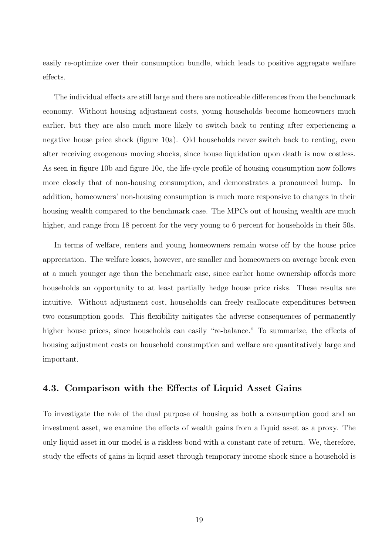easily re-optimize over their consumption bundle, which leads to positive aggregate welfare effects.

The individual effects are still large and there are noticeable differences from the benchmark economy. Without housing adjustment costs, young households become homeowners much earlier, but they are also much more likely to switch back to renting after experiencing a negative house price shock (figure 10a). Old households never switch back to renting, even after receiving exogenous moving shocks, since house liquidation upon death is now costless. As seen in figure 10b and figure 10c, the life-cycle profile of housing consumption now follows more closely that of non-housing consumption, and demonstrates a pronounced hump. In addition, homeowners' non-housing consumption is much more responsive to changes in their housing wealth compared to the benchmark case. The MPCs out of housing wealth are much higher, and range from 18 percent for the very young to 6 percent for households in their 50s.

In terms of welfare, renters and young homeowners remain worse off by the house price appreciation. The welfare losses, however, are smaller and homeowners on average break even at a much younger age than the benchmark case, since earlier home ownership affords more households an opportunity to at least partially hedge house price risks. These results are intuitive. Without adjustment cost, households can freely reallocate expenditures between two consumption goods. This flexibility mitigates the adverse consequences of permanently higher house prices, since households can easily "re-balance." To summarize, the effects of housing adjustment costs on household consumption and welfare are quantitatively large and important.

## 4.3. Comparison with the Effects of Liquid Asset Gains

To investigate the role of the dual purpose of housing as both a consumption good and an investment asset, we examine the effects of wealth gains from a liquid asset as a proxy. The only liquid asset in our model is a riskless bond with a constant rate of return. We, therefore, study the effects of gains in liquid asset through temporary income shock since a household is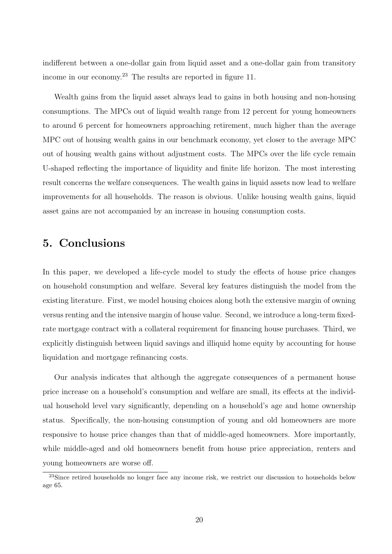indifferent between a one-dollar gain from liquid asset and a one-dollar gain from transitory income in our economy.<sup>23</sup> The results are reported in figure 11.

Wealth gains from the liquid asset always lead to gains in both housing and non-housing consumptions. The MPCs out of liquid wealth range from 12 percent for young homeowners to around 6 percent for homeowners approaching retirement, much higher than the average MPC out of housing wealth gains in our benchmark economy, yet closer to the average MPC out of housing wealth gains without adjustment costs. The MPCs over the life cycle remain U-shaped reflecting the importance of liquidity and finite life horizon. The most interesting result concerns the welfare consequences. The wealth gains in liquid assets now lead to welfare improvements for all households. The reason is obvious. Unlike housing wealth gains, liquid asset gains are not accompanied by an increase in housing consumption costs.

# 5. Conclusions

In this paper, we developed a life-cycle model to study the effects of house price changes on household consumption and welfare. Several key features distinguish the model from the existing literature. First, we model housing choices along both the extensive margin of owning versus renting and the intensive margin of house value. Second, we introduce a long-term fixedrate mortgage contract with a collateral requirement for financing house purchases. Third, we explicitly distinguish between liquid savings and illiquid home equity by accounting for house liquidation and mortgage refinancing costs.

Our analysis indicates that although the aggregate consequences of a permanent house price increase on a household's consumption and welfare are small, its effects at the individual household level vary significantly, depending on a household's age and home ownership status. Specifically, the non-housing consumption of young and old homeowners are more responsive to house price changes than that of middle-aged homeowners. More importantly, while middle-aged and old homeowners benefit from house price appreciation, renters and young homeowners are worse off.

<sup>&</sup>lt;sup>23</sup>Since retired households no longer face any income risk, we restrict our discussion to households below age 65.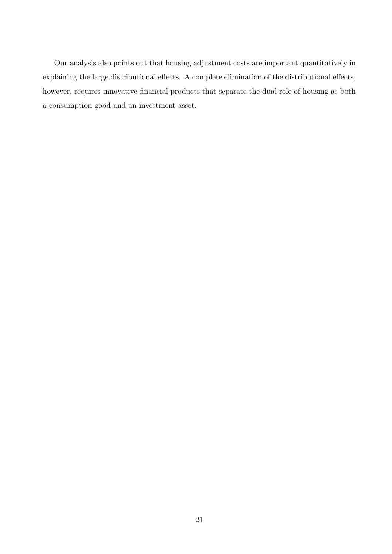Our analysis also points out that housing adjustment costs are important quantitatively in explaining the large distributional effects. A complete elimination of the distributional effects, however, requires innovative financial products that separate the dual role of housing as both a consumption good and an investment asset.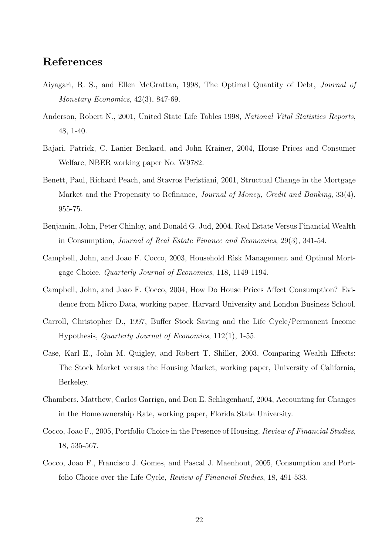# References

- Aiyagari, R. S., and Ellen McGrattan, 1998, The Optimal Quantity of Debt, Journal of Monetary Economics, 42(3), 847-69.
- Anderson, Robert N., 2001, United State Life Tables 1998, National Vital Statistics Reports, 48, 1-40.
- Bajari, Patrick, C. Lanier Benkard, and John Krainer, 2004, House Prices and Consumer Welfare, NBER working paper No. W9782.
- Benett, Paul, Richard Peach, and Stavros Peristiani, 2001, Structual Change in the Mortgage Market and the Propensity to Refinance, *Journal of Money, Credit and Banking*, 33(4), 955-75.
- Benjamin, John, Peter Chinloy, and Donald G. Jud, 2004, Real Estate Versus Financial Wealth in Consumption, Journal of Real Estate Finance and Economics, 29(3), 341-54.
- Campbell, John, and Joao F. Cocco, 2003, Household Risk Management and Optimal Mortgage Choice, Quarterly Journal of Economics, 118, 1149-1194.
- Campbell, John, and Joao F. Cocco, 2004, How Do House Prices Affect Consumption? Evidence from Micro Data, working paper, Harvard University and London Business School.
- Carroll, Christopher D., 1997, Buffer Stock Saving and the Life Cycle/Permanent Income Hypothesis, Quarterly Journal of Economics, 112(1), 1-55.
- Case, Karl E., John M. Quigley, and Robert T. Shiller, 2003, Comparing Wealth Effects: The Stock Market versus the Housing Market, working paper, University of California, Berkeley.
- Chambers, Matthew, Carlos Garriga, and Don E. Schlagenhauf, 2004, Accounting for Changes in the Homeownership Rate, working paper, Florida State University.
- Cocco, Joao F., 2005, Portfolio Choice in the Presence of Housing, Review of Financial Studies, 18, 535-567.
- Cocco, Joao F., Francisco J. Gomes, and Pascal J. Maenhout, 2005, Consumption and Portfolio Choice over the Life-Cycle, Review of Financial Studies, 18, 491-533.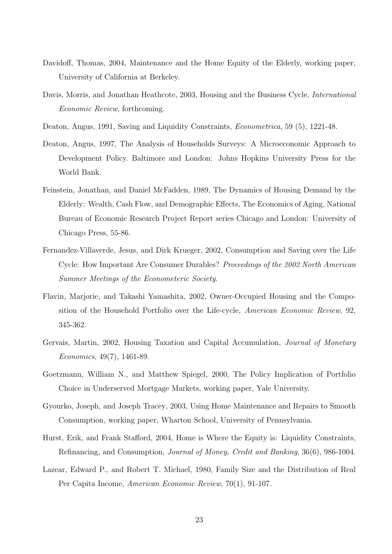- Davidoff, Thomas, 2004, Maintenance and the Home Equity of the Elderly, working paper, University of California at Berkeley.
- Davis, Morris, and Jonathan Heathcote, 2003, Housing and the Business Cycle, International Economic Review, forthcoming.
- Deaton, Angus, 1991, Saving and Liquidity Constraints, Econometrica, 59 (5), 1221-48.
- Deaton, Angus, 1997, The Analysis of Households Surveys: A Microeconomic Approach to Development Policy. Baltimore and London: Johns Hopkins University Press for the World Bank.
- Feinstein, Jonathan, and Daniel McFadden, 1989, The Dynamics of Housing Demand by the Elderly: Wealth, Cash Flow, and Demographic Effects, The Economics of Aging, National Bureau of Economic Research Project Report series Chicago and London: University of Chicago Press, 55-86.
- Fernandez-Villaverde, Jesus, and Dirk Krueger, 2002, Consumption and Saving over the Life Cycle: How Important Are Consumer Durables? Proceedings of the 2002 North American Summer Meetings of the Econometeric Society.
- Flavin, Marjorie, and Takashi Yamashita, 2002, Owner-Occupied Housing and the Composition of the Household Portfolio over the Life-cycle, American Economic Review, 92, 345-362.
- Gervais, Martin, 2002, Housing Taxation and Capital Accumulation, Journal of Monetary Economics, 49(7), 1461-89.
- Goetzmann, William N., and Matthew Spiegel, 2000, The Policy Implication of Portfolio Choice in Underserved Mortgage Markets, working paper, Yale University.
- Gyourko, Joseph, and Joseph Tracey, 2003, Using Home Maintenance and Repairs to Smooth Consumption, working paper, Wharton School, University of Pennsylvania.
- Hurst, Erik, and Frank Stafford, 2004, Home is Where the Equity is: Liquidity Constraints, Refinancing, and Consumption, Journal of Money, Credit and Banking, 36(6), 986-1004.
- Lazear, Edward P., and Robert T. Michael, 1980, Family Size and the Distribution of Real Per Capita Income, American Economic Review, 70(1), 91-107.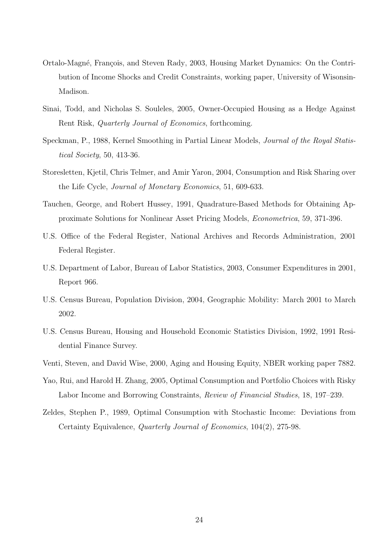- Ortalo-Magné, François, and Steven Rady, 2003, Housing Market Dynamics: On the Contribution of Income Shocks and Credit Constraints, working paper, University of Wisonsin-Madison.
- Sinai, Todd, and Nicholas S. Souleles, 2005, Owner-Occupied Housing as a Hedge Against Rent Risk, Quarterly Journal of Economics, forthcoming.
- Speckman, P., 1988, Kernel Smoothing in Partial Linear Models, Journal of the Royal Statistical Society, 50, 413-36.
- Storesletten, Kjetil, Chris Telmer, and Amir Yaron, 2004, Consumption and Risk Sharing over the Life Cycle, Journal of Monetary Economics, 51, 609-633.
- Tauchen, George, and Robert Hussey, 1991, Quadrature-Based Methods for Obtaining Approximate Solutions for Nonlinear Asset Pricing Models, Econometrica, 59, 371-396.
- U.S. Office of the Federal Register, National Archives and Records Administration, 2001 Federal Register.
- U.S. Department of Labor, Bureau of Labor Statistics, 2003, Consumer Expenditures in 2001, Report 966.
- U.S. Census Bureau, Population Division, 2004, Geographic Mobility: March 2001 to March 2002.
- U.S. Census Bureau, Housing and Household Economic Statistics Division, 1992, 1991 Residential Finance Survey.
- Venti, Steven, and David Wise, 2000, Aging and Housing Equity, NBER working paper 7882.
- Yao, Rui, and Harold H. Zhang, 2005, Optimal Consumption and Portfolio Choices with Risky Labor Income and Borrowing Constraints, Review of Financial Studies, 18, 197–239.
- Zeldes, Stephen P., 1989, Optimal Consumption with Stochastic Income: Deviations from Certainty Equivalence, Quarterly Journal of Economics, 104(2), 275-98.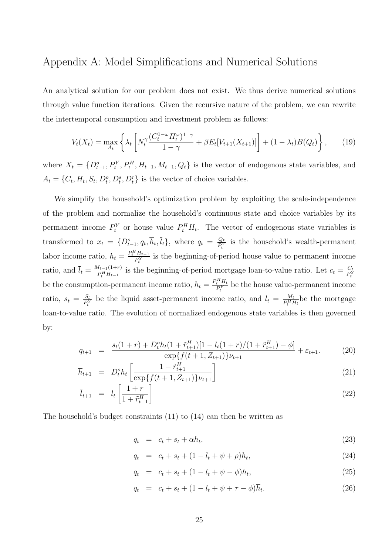# Appendix A: Model Simplifications and Numerical Solutions

An analytical solution for our problem does not exist. We thus derive numerical solutions through value function iterations. Given the recursive nature of the problem, we can rewrite the intertemporal consumption and investment problem as follows:

$$
V_t(X_t) = \max_{A_t} \left\{ \lambda_t \left[ N_t^{\gamma} \frac{(C_t^{1-\omega} H_t^{\omega})^{1-\gamma}}{1-\gamma} + \beta E_t [V_{t+1}(X_{t+1})] \right] + (1-\lambda_t) B(Q_t) \right\},\qquad(19)
$$

where  $X_t = \{D_{t-1}^o, P_t^Y, P_t^H, H_{t-1}, M_{t-1}, Q_t\}$  is the vector of endogenous state variables, and  $A_t = \{C_t, H_t, S_t, D_t^o, D_t^s, D_t^r\}$  is the vector of choice variables.

We simplify the household's optimization problem by exploiting the scale-independence of the problem and normalize the household's continuous state and choice variables by its permanent income  $P_t^Y$  or house value  $P_t^H H_t$ . The vector of endogenous state variables is transformed to  $x_t = \{D_{t-1}^o, q_t, \overline{h}_t, \overline{l}_t\}$ , where  $q_t = \frac{Q_t}{P_t^Y}$  $\frac{Q_t}{P_t^Y}$  is the household's wealth-permanent labor income ratio,  $\overline{h}_t = \frac{P_t^H H_{t-1}}{P_Y}$  $\frac{H_{t-1}}{P_t^Y}$  is the beginning-of-period house value to permanent income ratio, and  $\bar{l}_t = \frac{M_{t-1}(1+r)}{P^H H_{t-1}}$  $\frac{H_{t-1}(1+r)}{P_t^H H_{t-1}}$  is the beginning-of-period mortgage loan-to-value ratio. Let  $c_t = \frac{C_t}{P_t^Y}$  $\overline{P^Y_t}$ be the consumption-permanent income ratio,  $h_t = \frac{P_t^H H_t}{P^Y}$  $\frac{i^* H_t}{P_t^Y}$  be the house value-permanent income ratio,  $s_t = \frac{S_t}{P^Y}$  $\frac{S_t}{P_t^Y}$  be the liquid asset-permanent income ratio, and  $l_t = \frac{M_t}{P_t^H P_t^X}$  $\frac{M_t}{P_t^H H_t}$ be the mortgage loan-to-value ratio. The evolution of normalized endogenous state variables is then governed by:

$$
q_{t+1} = \frac{s_t(1+r) + D_t^o h_t(1+\tilde{r}_{t+1}^H)[1 - l_t(1+r)/(1+\tilde{r}_{t+1}^H) - \phi]}{\exp\{f(t+1, Z_{t+1})\}\nu_{t+1}} + \varepsilon_{t+1}.
$$
 (20)

$$
\overline{h}_{t+1} = D_t^o h_t \left[ \frac{1 + \tilde{r}_{t+1}^H}{\exp\{f(t+1, Z_{t+1})\} \nu_{t+1}} \right] \tag{21}
$$

$$
\bar{l}_{t+1} = l_t \left[ \frac{1+r}{1+\tilde{r}_{t+1}^H} \right] \tag{22}
$$

The household's budget constraints (11) to (14) can then be written as

$$
q_t = c_t + s_t + \alpha h_t, \tag{23}
$$

$$
q_t = c_t + s_t + (1 - l_t + \psi + \rho)h_t,
$$
\n(24)

$$
q_t = c_t + s_t + (1 - l_t + \psi - \phi)\overline{h}_t, \tag{25}
$$

$$
q_t = c_t + s_t + (1 - l_t + \psi + \tau - \phi)\overline{h}_t.
$$
 (26)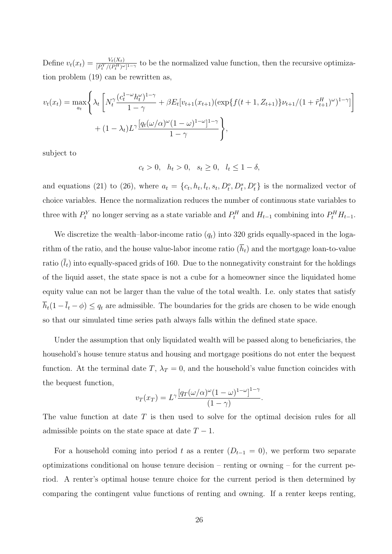Define  $v_t(x_t) = \frac{V_t(X_t)}{[P_t^Y/(P_t^H)^{\omega}]^{1-\gamma}}$  to be the normalized value function, then the recursive optimization problem (19) can be rewritten as,

$$
v_t(x_t) = \max_{a_t} \left\{ \lambda_t \left[ N_t^{\gamma} \frac{(c_t^{1-\omega} h_t^{\omega})^{1-\gamma}}{1-\gamma} + \beta E_t [v_{t+1}(x_{t+1}) (\exp\{f(t+1, Z_{t+1})\} \nu_{t+1}/(1+\tilde{r}_{t+1}^H)^{\omega})^{1-\gamma} ] \right] + (1-\lambda_t) L^{\gamma} \frac{[q_t(\omega/\alpha)^{\omega} (1-\omega)^{1-\omega}]^{1-\gamma}}{1-\gamma} \right\},
$$

subject to

 $c_t > 0$ ,  $h_t > 0$ ,  $s_t \geq 0$ ,  $l_t \leq 1 - \delta$ ,

and equations (21) to (26), where  $a_t = \{c_t, h_t, l_t, s_t, D_t^o, D_t^s, D_t^r\}$  is the normalized vector of choice variables. Hence the normalization reduces the number of continuous state variables to three with  $P_t^Y$  no longer serving as a state variable and  $P_t^H$  and  $H_{t-1}$  combining into  $P_t^H H_{t-1}$ .

We discretize the wealth–labor-income ratio  $(q_t)$  into 320 grids equally-spaced in the logarithm of the ratio, and the house value-labor income ratio  $(\bar{h}_t)$  and the mortgage loan-to-value ratio  $(\bar{l}_t)$  into equally-spaced grids of 160. Due to the nonnegativity constraint for the holdings of the liquid asset, the state space is not a cube for a homeowner since the liquidated home equity value can not be larger than the value of the total wealth. I.e. only states that satisfy  $\overline{h}_t(1 - \overline{l}_t - \phi) \le q_t$  are admissible. The boundaries for the grids are chosen to be wide enough so that our simulated time series path always falls within the defined state space.

Under the assumption that only liquidated wealth will be passed along to beneficiaries, the household's house tenure status and housing and mortgage positions do not enter the bequest function. At the terminal date T,  $\lambda_T = 0$ , and the household's value function coincides with the bequest function,

$$
v_T(x_T) = L^{\gamma} \frac{\left[ q_T(\omega/\alpha)^{\omega} (1-\omega)^{1-\omega} \right]^{1-\gamma}}{(1-\gamma)}.
$$

The value function at date  $T$  is then used to solve for the optimal decision rules for all admissible points on the state space at date  $T - 1$ .

For a household coming into period t as a renter  $(D_{t-1} = 0)$ , we perform two separate optimizations conditional on house tenure decision – renting or owning – for the current period. A renter's optimal house tenure choice for the current period is then determined by comparing the contingent value functions of renting and owning. If a renter keeps renting,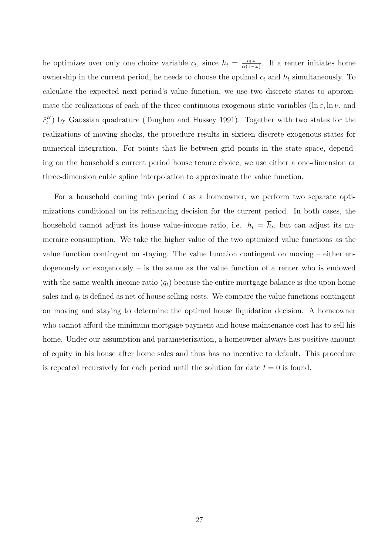he optimizes over only one choice variable  $c_t$ , since  $h_t = \frac{c_t \omega}{\alpha(1-t)}$  $\frac{c_t\omega}{\alpha(1-\omega)}$ . If a renter initiates home ownership in the current period, he needs to choose the optimal  $c_t$  and  $h_t$  simultaneously. To calculate the expected next period's value function, we use two discrete states to approximate the realizations of each of the three continuous exogenous state variables ( $\ln \varepsilon$ ,  $\ln \nu$ , and  $\tilde{r}_t^H$ ) by Gaussian quadrature (Taughen and Hussey 1991). Together with two states for the realizations of moving shocks, the procedure results in sixteen discrete exogenous states for numerical integration. For points that lie between grid points in the state space, depending on the household's current period house tenure choice, we use either a one-dimension or three-dimension cubic spline interpolation to approximate the value function.

For a household coming into period  $t$  as a homeowner, we perform two separate optimizations conditional on its refinancing decision for the current period. In both cases, the household cannot adjust its house value-income ratio, i.e.  $h_t = \overline{h}_t$ , but can adjust its numeraire consumption. We take the higher value of the two optimized value functions as the value function contingent on staying. The value function contingent on moving – either endogenously or exogenously – is the same as the value function of a renter who is endowed with the same wealth-income ratio  $(q_t)$  because the entire mortgage balance is due upon home sales and  $q_t$  is defined as net of house selling costs. We compare the value functions contingent on moving and staying to determine the optimal house liquidation decision. A homeowner who cannot afford the minimum mortgage payment and house maintenance cost has to sell his home. Under our assumption and parameterization, a homeowner always has positive amount of equity in his house after home sales and thus has no incentive to default. This procedure is repeated recursively for each period until the solution for date  $t = 0$  is found.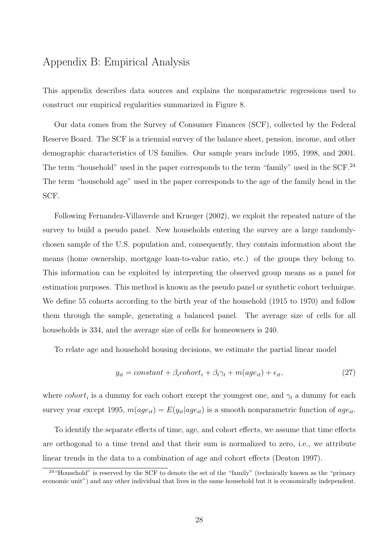# Appendix B: Empirical Analysis

This appendix describes data sources and explains the nonparametric regressions used to construct our empirical regularities summarized in Figure 8.

Our data comes from the Survey of Consumer Finances (SCF), collected by the Federal Reserve Board. The SCF is a triennial survey of the balance sheet, pension, income, and other demographic characteristics of US families. Our sample years include 1995, 1998, and 2001. The term "household" used in the paper corresponds to the term "family" used in the SCF.<sup>24</sup> The term "household age" used in the paper corresponds to the age of the family head in the SCF.

Following Fernandez-Villaverde and Krueger (2002), we exploit the repeated nature of the survey to build a pseudo panel. New households entering the survey are a large randomlychosen sample of the U.S. population and, consequently, they contain information about the means (home ownership, mortgage loan-to-value ratio, etc.) of the groups they belong to. This information can be exploited by interpreting the observed group means as a panel for estimation purposes. This method is known as the pseudo panel or synthetic cohort technique. We define 55 cohorts according to the birth year of the household (1915 to 1970) and follow them through the sample, generating a balanced panel. The average size of cells for all households is 334, and the average size of cells for homeowners is 240.

To relate age and household housing decisions, we estimate the partial linear model

$$
y_{it} = constant + \beta_i \text{colort}t_i + \beta_t \gamma_t + m(\text{age}_{it}) + \epsilon_{it}, \qquad (27)
$$

where cohort<sub>i</sub> is a dummy for each cohort except the youngest one, and  $\gamma_t$  a dummy for each survey year except 1995,  $m(age_{it}) = E(y_{it}|age_{it})$  is a smooth nonparametric function of  $age_{it}$ .

To identify the separate effects of time, age, and cohort effects, we assume that time effects are orthogonal to a time trend and that their sum is normalized to zero, i.e., we attribute linear trends in the data to a combination of age and cohort effects (Deaton 1997).

 $24$  "Household" is reserved by the SCF to denote the set of the "family" (technically known as the "primary") economic unit") and any other individual that lives in the same household but it is economically independent.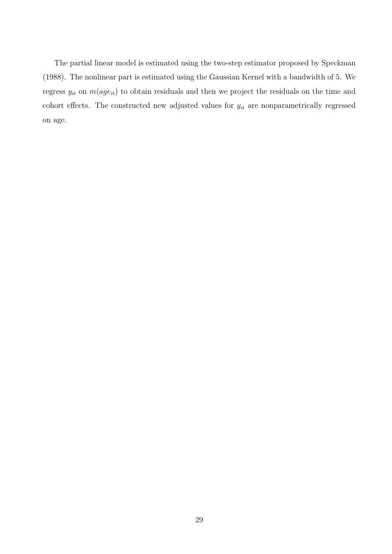The partial linear model is estimated using the two-step estimator proposed by Speckman (1988). The nonlinear part is estimated using the Gaussian Kernel with a bandwidth of 5. We regress  $y_{it}$  on  $m(age_{it})$  to obtain residuals and then we project the residuals on the time and cohort effects. The constructed new adjusted values for  $y_{it}$  are nonparametrically regressed on age.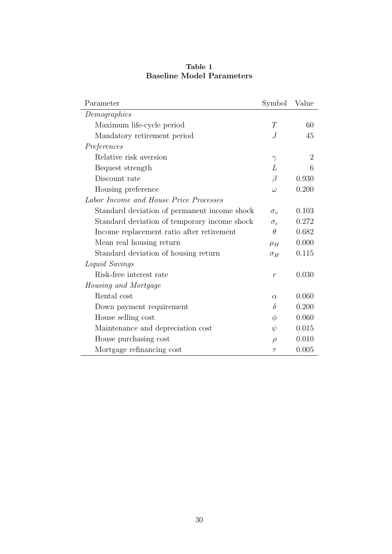| Parameter                                    | Symbol                 | Value          |
|----------------------------------------------|------------------------|----------------|
| Demographics                                 |                        |                |
| Maximum life-cycle period                    | T                      | 60             |
| Mandatory retirement period                  | J                      | 45             |
| Preferences                                  |                        |                |
| Relative risk aversion                       | $\gamma$               | $\overline{2}$ |
| Bequest strength                             | L                      | 6              |
| Discount rate                                | $\beta$                | 0.930          |
| Housing preference                           | $\omega$               | 0.200          |
| Labor Income and House Price Processes       |                        |                |
| Standard deviation of permanent income shock | $\sigma_v$             | 0.103          |
| Standard deviation of temporary income shock | $\sigma_{\varepsilon}$ | 0.272          |
| Income replacement ratio after retirement    | $\theta$               | 0.682          |
| Mean real housing return                     | $\mu_H$                | 0.000          |
| Standard deviation of housing return         | $\sigma_H$             | 0.115          |
| Liquid Savings                               |                        |                |
| Risk-free interest rate                      | $\boldsymbol{r}$       | 0.030          |
| <i>Housing and Mortgage</i>                  |                        |                |
| Rental cost                                  | $\alpha$               | 0.060          |
| Down payment requirement                     | $\delta$               | 0.200          |
| House selling cost                           | $\phi$                 | 0.060          |
| Maintenance and depreciation cost            | $\psi$                 | 0.015          |
| House purchasing cost                        | $\rho$                 | 0.010          |
| Mortgage refinancing cost                    | $\tau$                 | 0.005          |

Table 1 Baseline Model Parameters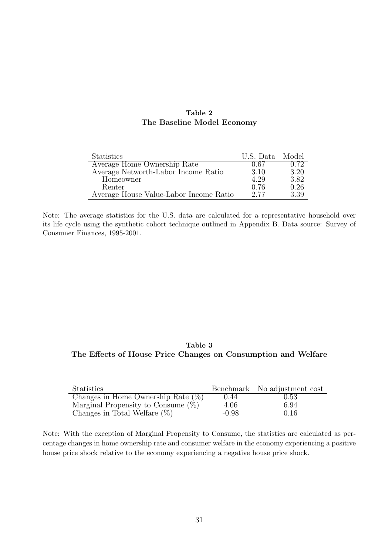### Table 2 The Baseline Model Economy

| <b>Statistics</b>                      | U.S. Data Model |      |
|----------------------------------------|-----------------|------|
| Average Home Ownership Rate            | 0.67            | 0.72 |
| Average Networth-Labor Income Ratio    | 3.10            | 3.20 |
| Homeowner                              | 4.29            | 3.82 |
| Renter                                 | 0.76            | 0.26 |
| Average House Value-Labor Income Ratio | 2.77            | 3.39 |

Note: The average statistics for the U.S. data are calculated for a representative household over its life cycle using the synthetic cohort technique outlined in Appendix B. Data source: Survey of Consumer Finances, 1995-2001.

## Table 3 The Effects of House Price Changes on Consumption and Welfare

| <b>Statistics</b>                     |         | Benchmark No adjustment cost |
|---------------------------------------|---------|------------------------------|
| Changes in Home Ownership Rate $(\%)$ | 0.44    | 0.53                         |
| Marginal Propensity to Consume $(\%)$ | 4.06    | 6.94                         |
| Changes in Total Welfare $(\%)$       | $-0.98$ | 0.16                         |

Note: With the exception of Marginal Propensity to Consume, the statistics are calculated as percentage changes in home ownership rate and consumer welfare in the economy experiencing a positive house price shock relative to the economy experiencing a negative house price shock.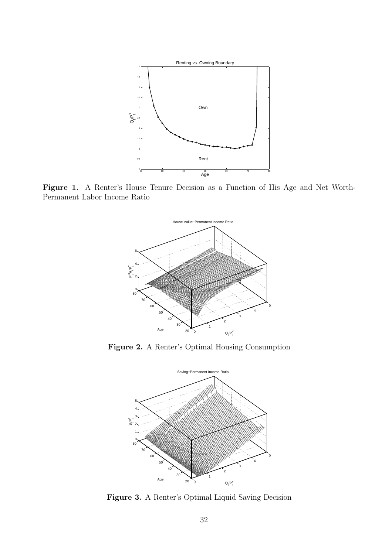

Figure 1. A Renter's House Tenure Decision as a Function of His Age and Net Worth-Permanent Labor Income Ratio



Figure 2. A Renter's Optimal Housing Consumption



Figure 3. A Renter's Optimal Liquid Saving Decision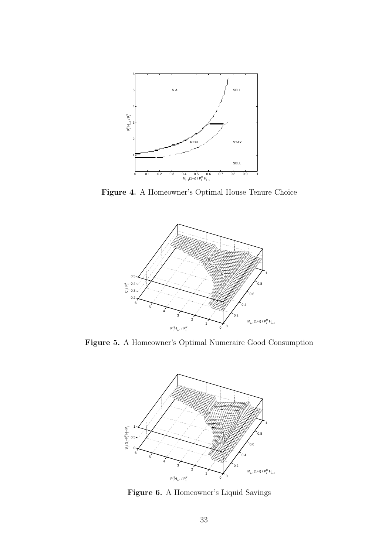

Figure 4. A Homeowner's Optimal House Tenure Choice



Figure 5. A Homeowner's Optimal Numeraire Good Consumption



Figure 6. A Homeowner's Liquid Savings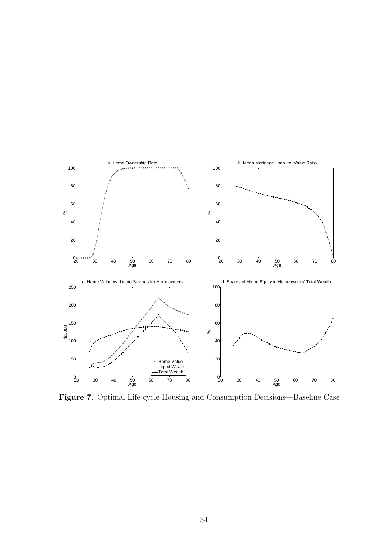

Figure 7. Optimal Life-cycle Housing and Consumption Decisions—Baseline Case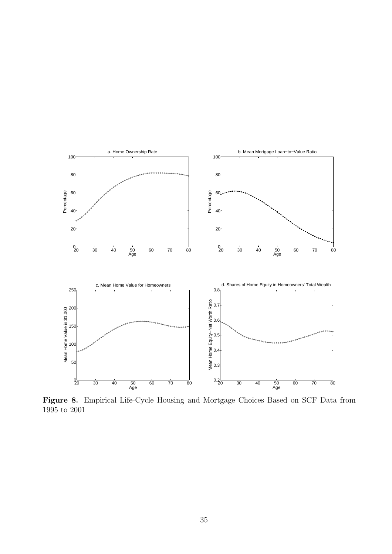

Figure 8. Empirical Life-Cycle Housing and Mortgage Choices Based on SCF Data from 1995 to 2001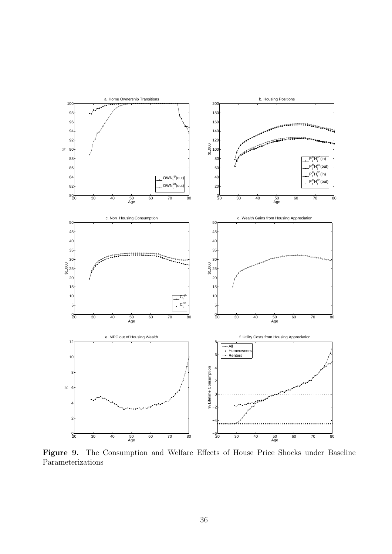

Figure 9. The Consumption and Welfare Effects of House Price Shocks under Baseline Parameterizations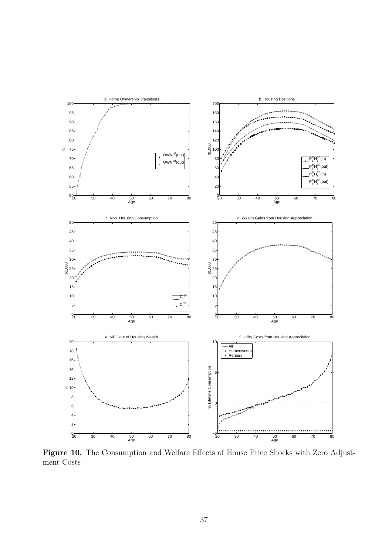

Figure 10. The Consumption and Welfare Effects of House Price Shocks with Zero Adjustment Costs